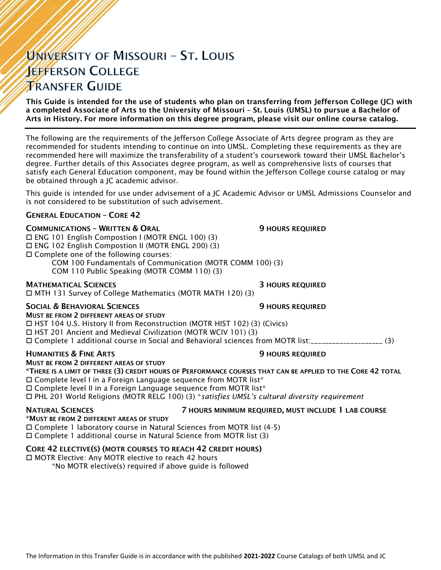# UNIVERSITY OF MISSOURI - ST. LOUIS **JEFFERSON COLLEGE TRANSFER GUIDE**

This Guide is intended for the use of students who plan on transferring from Jefferson College (JC) with a completed Associate of Arts to the University of Missouri – St. Louis (UMSL) to pursue a Bachelor of Arts in History. For more information on this degree program, please visit our online course catalog.

The following are the requirements of the Jefferson College Associate of Arts degree program as they are recommended for students intending to continue on into UMSL. Completing these requirements as they are recommended here will maximize the transferability of a student's coursework toward their UMSL Bachelor's degree. Further details of this Associates degree program, as well as comprehensive lists of courses that satisfy each General Education component, may be found within the Jefferson College course catalog or may be obtained through a JC academic advisor.

This guide is intended for use under advisement of a JC Academic Advisor or UMSL Admissions Counselor and is not considered to be substitution of such advisement.

### GENERAL EDUCATION – CORE 42

### **COMMUNICATIONS - WRITTEN & ORAL 50 COMMUNICATIONS - WRITTEN & ORAL 50 MILLS**

ENG 101 English Compostion I (MOTR ENGL 100) (3)

ENG 102 English Compostion II (MOTR ENGL 200) (3)

Complete one of the following courses:

COM 100 Fundamentals of Communication (MOTR COMM 100) (3)

COM 110 Public Speaking (MOTR COMM 110) (3)

### MATHEMATICAL SCIENCES 3 HOURS REQUIRED

MTH 131 Survey of College Mathematics (MOTR MATH 120) (3)

### SOCIAL & BEHAVIORAL SCIENCES **19 SOCIAL ALCORATIVE SOCIAL AREA**

MUST BE FROM 2 DIFFERENT AREAS OF STUDY HST 104 U.S. History II from Reconstruction (MOTR HIST 102) (3) (Civics) HST 201 Ancient and Medieval Civilization (MOTR WCIV 101) (3) Complete 1 additional course in Social and Behavioral sciences from MOTR list:\_\_\_\_\_\_\_\_\_\_\_\_\_\_\_\_\_\_\_\_ (3)

### HUMANITIES & FINE ARTS 9 HOURS REQUIRED

MUST BE FROM 2 DIFFERENT AREAS OF STUDY

\*THERE IS A LIMIT OF THREE (3) CREDIT HOURS OF PERFORMANCE COURSES THAT CAN BE APPLIED TO THE CORE 42 TOTAL  $\Box$  Complete level I in a Foreign Language sequence from MOTR list\* Complete level II in a Foreign Language sequence from MOTR list\*

PHL 201 World Religions (MOTR RELG 100) (3) \**satisfies UMSL's cultural diversity requirement*

NATURAL SCIENCES 7 HOURS MINIMUM REQUIRED, MUST INCLUDE 1 LAB COURSE

### \*MUST BE FROM 2 DIFFERENT AREAS OF STUDY

 Complete 1 laboratory course in Natural Sciences from MOTR list (4-5) Complete 1 additional course in Natural Science from MOTR list (3)

### CORE 42 ELECTIVE(S) (MOTR COURSES TO REACH 42 CREDIT HOURS)

□ MOTR Elective: Any MOTR elective to reach 42 hours

\*No MOTR elective(s) required if above guide is followed